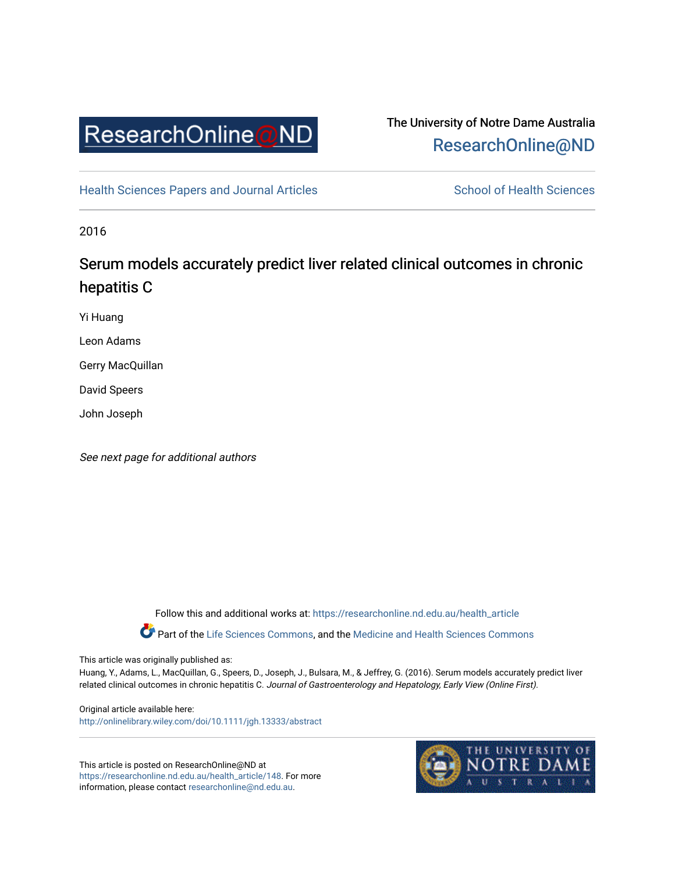

# The University of Notre Dame Australia [ResearchOnline@ND](https://researchonline.nd.edu.au/)

[Health Sciences Papers and Journal Articles](https://researchonline.nd.edu.au/health_article) School of Health Sciences

2016

# Serum models accurately predict liver related clinical outcomes in chronic hepatitis C

Yi Huang

Leon Adams

Gerry MacQuillan

David Speers

John Joseph

See next page for additional authors

Follow this and additional works at: [https://researchonline.nd.edu.au/health\\_article](https://researchonline.nd.edu.au/health_article?utm_source=researchonline.nd.edu.au%2Fhealth_article%2F148&utm_medium=PDF&utm_campaign=PDFCoverPages)

Part of the [Life Sciences Commons](http://network.bepress.com/hgg/discipline/1016?utm_source=researchonline.nd.edu.au%2Fhealth_article%2F148&utm_medium=PDF&utm_campaign=PDFCoverPages), and the Medicine and Health Sciences Commons

This article was originally published as:

Huang, Y., Adams, L., MacQuillan, G., Speers, D., Joseph, J., Bulsara, M., & Jeffrey, G. (2016). Serum models accurately predict liver related clinical outcomes in chronic hepatitis C. Journal of Gastroenterology and Hepatology, Early View (Online First).

Original article available here: <http://onlinelibrary.wiley.com/doi/10.1111/jgh.13333/abstract>

This article is posted on ResearchOnline@ND at [https://researchonline.nd.edu.au/health\\_article/148](https://researchonline.nd.edu.au/health_article/148). For more information, please contact [researchonline@nd.edu.au.](mailto:researchonline@nd.edu.au)

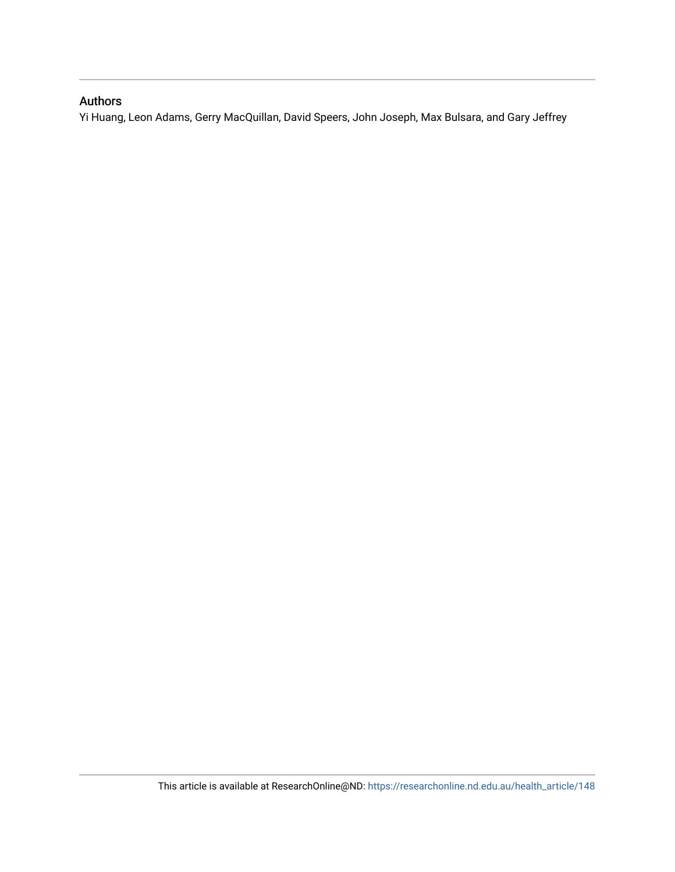## Authors

Yi Huang, Leon Adams, Gerry MacQuillan, David Speers, John Joseph, Max Bulsara, and Gary Jeffrey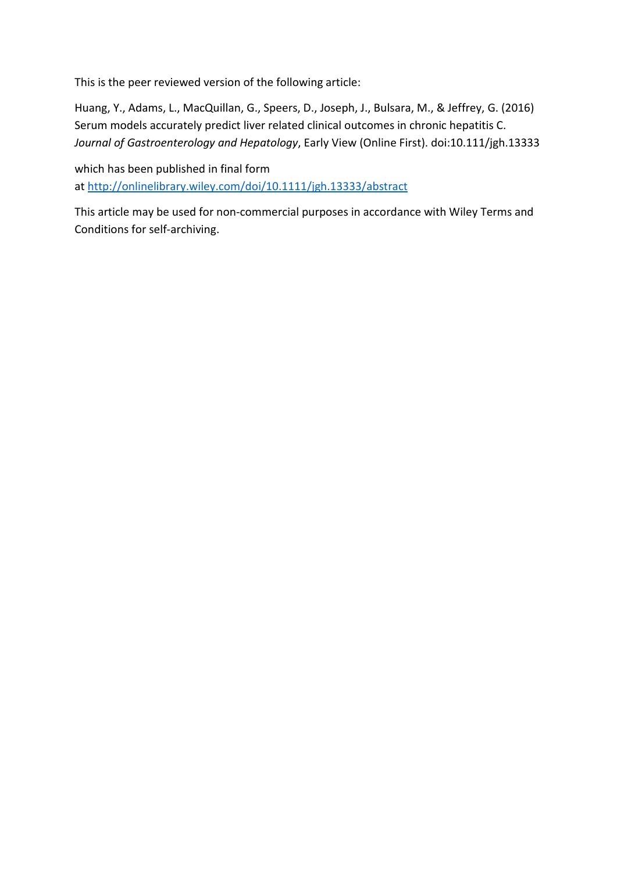This is the peer reviewed version of the following article:

Huang, Y., Adams, L., MacQuillan, G., Speers, D., Joseph, J., Bulsara, M., & Jeffrey, G. (2016) Serum models accurately predict liver related clinical outcomes in chronic hepatitis C. *Journal of Gastroenterology and Hepatology*, Early View (Online First). doi:10.111/jgh.13333

which has been published in final form at <http://onlinelibrary.wiley.com/doi/10.1111/jgh.13333/abstract>

This article may be used for non-commercial purposes in accordance with Wiley Terms and Conditions for self-archiving.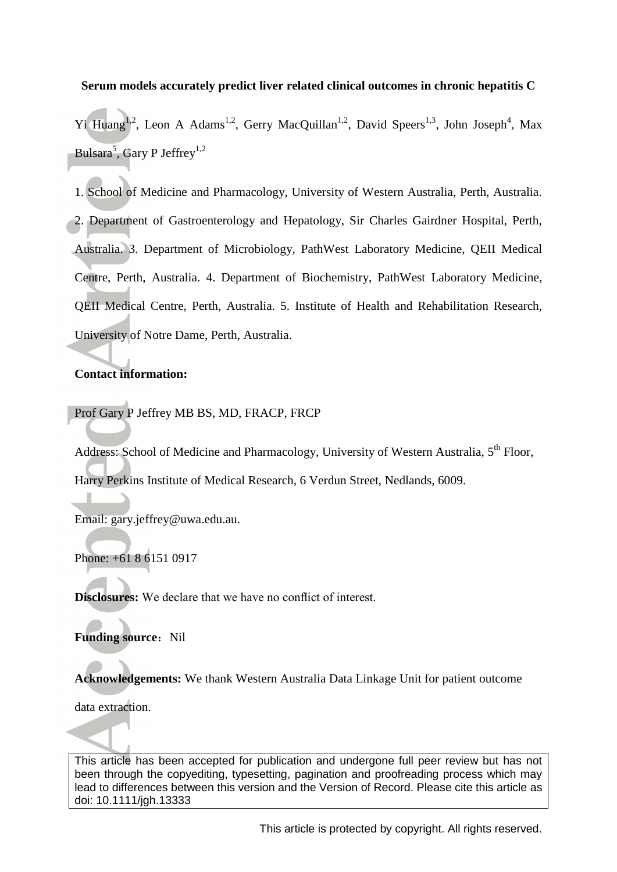### **Serum models accurately predict liver related clinical outcomes in chronic hepatitis C**

Yi Huang<sup>1,2</sup>, Leon A Adams<sup>1,2</sup>, Gerry MacQuillan<sup>1,2</sup>, David Speers<sup>1,3</sup>, John Joseph<sup>4</sup>, Max Bulsara<sup>5</sup>, Gary P Jeffrey<sup>1,2</sup>

1. School of Medicine and Pharmacology, University of Western Australia, Perth, Australia. 2. Department of Gastroenterology and Hepatology, Sir Charles Gairdner Hospital, Perth, Australia. 3. Department of Microbiology, PathWest Laboratory Medicine, QEII Medical Centre, Perth, Australia. 4. Department of Biochemistry, PathWest Laboratory Medicine, QEII Medical Centre, Perth, Australia. 5. Institute of Health and Rehabilitation Research, University of Notre Dame, Perth, Australia.

### **Contact information:**

Prof Gary P Jeffrey MB BS, MD, FRACP, FRCP

Address: School of Medicine and Pharmacology, University of Western Australia, 5<sup>th</sup> Floor, Harry Perkins Institute of Medical Research, 6 Verdun Street, Nedlands, 6009.

Email: gary.jeffrey@uwa.edu.au.

Phone: +61 8 6151 0917

**Disclosures:** We declare that we have no conflict of interest.

**Funding source:** Nil

**Acknowledgements:** We thank Western Australia Data Linkage Unit for patient outcome

data extraction.

This article has been accepted for publication and undergone full peer review but has not been through the copyediting, typesetting, pagination and proofreading process which may lead to differences between this version and the Version of Record. Please cite this article as doi: 10.1111/jgh.13333

This article is protected by copyright. All rights reserved.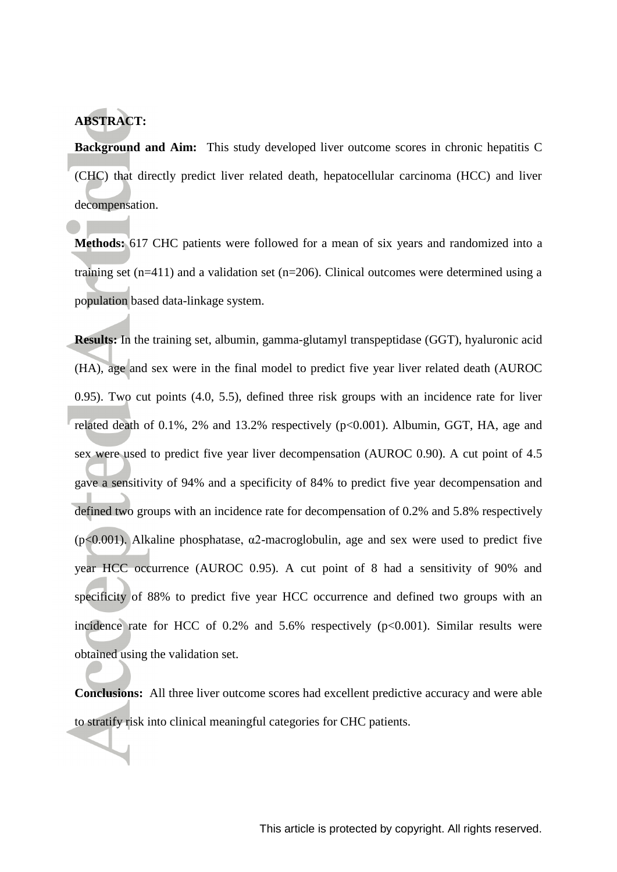# **ABSTRACT:**

**Background and Aim:** This study developed liver outcome scores in chronic hepatitis C (CHC) that directly predict liver related death, hepatocellular carcinoma (HCC) and liver decompensation.

**Methods:** 617 CHC patients were followed for a mean of six years and randomized into a training set  $(n=411)$  and a validation set  $(n=206)$ . Clinical outcomes were determined using a population based data-linkage system.

**Results:** In the training set, albumin, gamma-glutamyl transpeptidase (GGT), hyaluronic acid (HA), age and sex were in the final model to predict five year liver related death (AUROC 0.95). Two cut points (4.0, 5.5), defined three risk groups with an incidence rate for liver related death of 0.1%, 2% and 13.2% respectively (p<0.001). Albumin, GGT, HA, age and sex were used to predict five year liver decompensation (AUROC 0.90). A cut point of 4.5 gave a sensitivity of 94% and a specificity of 84% to predict five year decompensation and defined two groups with an incidence rate for decompensation of 0.2% and 5.8% respectively ( $p \le 0.001$ ). Alkaline phosphatase,  $\alpha$ 2-macroglobulin, age and sex were used to predict five year HCC occurrence (AUROC 0.95). A cut point of 8 had a sensitivity of 90% and specificity of 88% to predict five year HCC occurrence and defined two groups with an incidence rate for HCC of  $0.2\%$  and  $5.6\%$  respectively ( $p<0.001$ ). Similar results were obtained using the validation set.

**Conclusions:** All three liver outcome scores had excellent predictive accuracy and were able to stratify risk into clinical meaningful categories for CHC patients.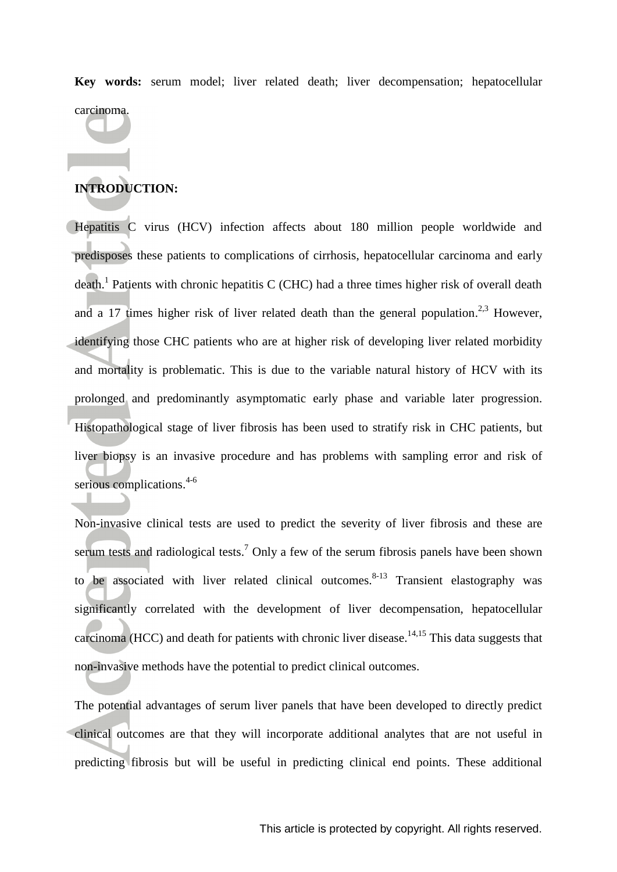**Key words:** serum model; liver related death; liver decompensation; hepatocellular carcinoma.

# **INTRODUCTION:**

Hepatitis C virus (HCV) infection affects about 180 million people worldwide and predisposes these patients to complications of cirrhosis, hepatocellular carcinoma and early death.<sup>[1](#page-15-0)</sup> Patients with chronic hepatitis C (CHC) had a three times higher risk of overall death and a 17 times higher risk of liver related death than the general population.<sup>[2,](#page-15-1)[3](#page-15-2)</sup> However, identifying those CHC patients who are at higher risk of developing liver related morbidity and mortality is problematic. This is due to the variable natural history of HCV with its prolonged and predominantly asymptomatic early phase and variable later progression. Histopathological stage of liver fibrosis has been used to stratify risk in CHC patients, but liver biopsy is an invasive procedure and has problems with sampling error and risk of serious complications. [4-6](#page-15-3)

Non-invasive clinical tests are used to predict the severity of liver fibrosis and these are serum tests and radiological tests.<sup>[7](#page-15-4)</sup> Only a few of the serum fibrosis panels have been shown to be associated with liver related clinical outcomes.<sup>[8-13](#page-15-5)</sup> Transient elastography was significantly correlated with the development of liver decompensation, hepatocellular carcinoma (HCC) and death for patients with chronic liver disease.<sup>[14,](#page-16-0)[15](#page-16-1)</sup> This data suggests that non-invasive methods have the potential to predict clinical outcomes.

The potential advantages of serum liver panels that have been developed to directly predict clinical outcomes are that they will incorporate additional analytes that are not useful in predicting fibrosis but will be useful in predicting clinical end points. These additional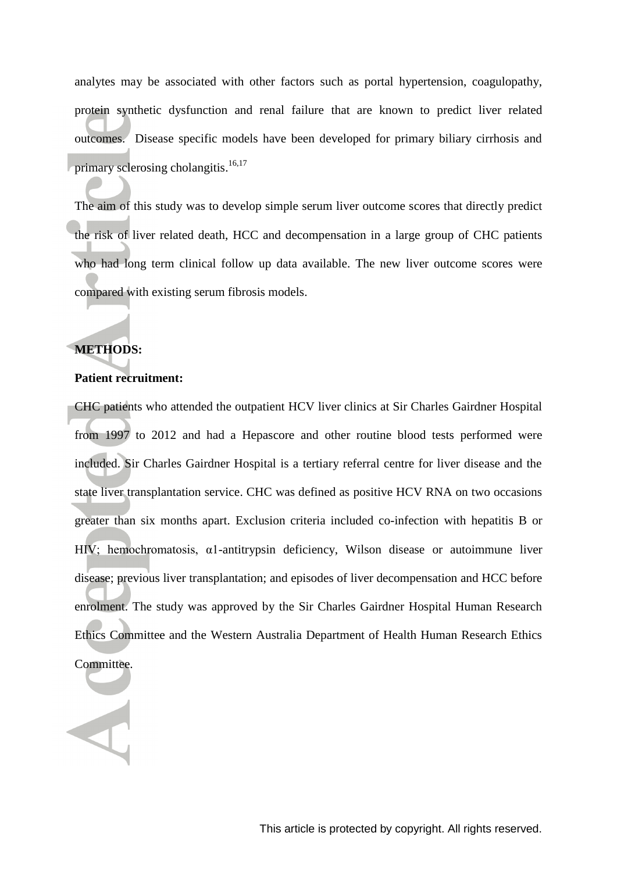analytes may be associated with other factors such as portal hypertension, coagulopathy, protein synthetic dysfunction and renal failure that are known to predict liver related outcomes. Disease specific models have been developed for primary biliary cirrhosis and primary sclerosing cholangitis.<sup>[16,](#page-17-0)[17](#page-17-1)</sup>

The aim of this study was to develop simple serum liver outcome scores that directly predict the risk of liver related death, HCC and decompensation in a large group of CHC patients who had long term clinical follow up data available. The new liver outcome scores were compared with existing serum fibrosis models.

### **METHODS:**

### **Patient recruitment:**

CHC patients who attended the outpatient HCV liver clinics at Sir Charles Gairdner Hospital from 1997 to 2012 and had a Hepascore and other routine blood tests performed were included. Sir Charles Gairdner Hospital is a tertiary referral centre for liver disease and the state liver transplantation service. CHC was defined as positive HCV RNA on two occasions greater than six months apart. Exclusion criteria included co-infection with hepatitis B or HIV; hemochromatosis, α1-antitrypsin deficiency, Wilson disease or autoimmune liver disease; previous liver transplantation; and episodes of liver decompensation and HCC before enrolment. The study was approved by the Sir Charles Gairdner Hospital Human Research Ethics Committee and the Western Australia Department of Health Human Research Ethics Committee.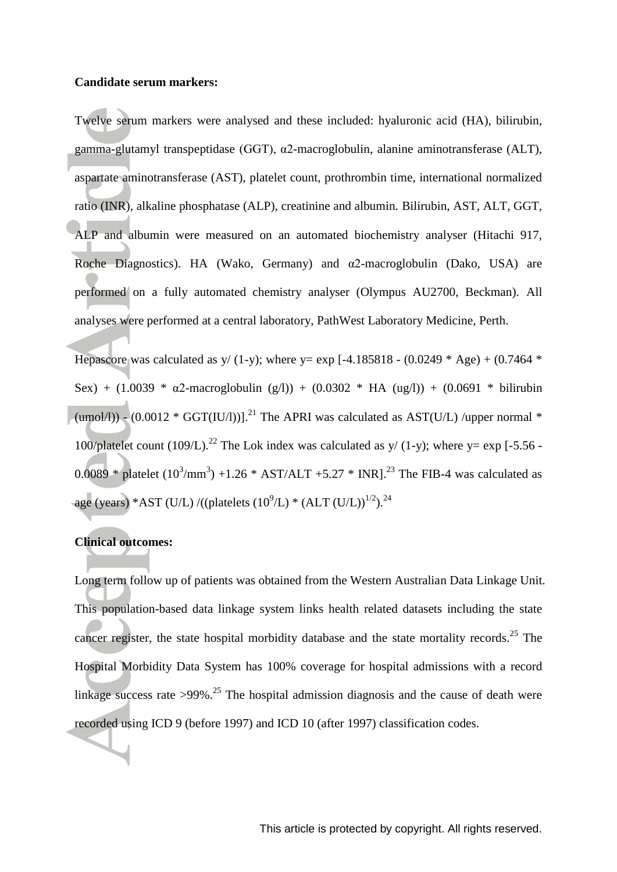#### **Candidate serum markers:**

Twelve serum markers were analysed and these included: hyaluronic acid (HA), bilirubin, gamma-glutamyl transpeptidase (GGT), α2-macroglobulin, alanine aminotransferase (ALT), aspartate aminotransferase (AST), platelet count, prothrombin time, international normalized ratio (INR), alkaline phosphatase (ALP), creatinine and albumin. Bilirubin, AST, ALT, GGT, ALP and albumin were measured on an automated biochemistry analyser (Hitachi 917, Roche Diagnostics). HA (Wako, Germany) and  $\alpha$ 2-macroglobulin (Dako, USA) are performed on a fully automated chemistry analyser (Olympus AU2700, Beckman). All analyses were performed at a central laboratory, PathWest Laboratory Medicine, Perth.

Hepascore was calculated as y/ (1-y); where y= exp [-4.185818 - (0.0249  $*$  Age) + (0.7464  $*$ Sex) + (1.0039 \*  $\alpha$ 2-macroglobulin (g/l)) + (0.0302 \* HA (ug/l)) + (0.0691 \* bilirubin (umol/l))  $\sim$  (0.0012 \* GGT(IU/l))].<sup>[21](#page-17-2)</sup> The APRI was calculated as AST(U/L) /upper normal \* 100/platelet count (109/L).<sup>[22](#page-17-3)</sup> The Lok index was calculated as  $y/(1-y)$ ; where  $y=$  exp [-5.56 -0.0089 \* platelet  $(10^3/\text{mm}^3)$  +1.26 \* AST/ALT +5.27 \* INR].<sup>[23](#page-18-0)</sup> The FIB-4 was calculated as age (years) \*AST (U/L) /((platelets  $(10^{9}/L)$  \*  $(ALT (U/L))^{1/2}$ ).<sup>[24](#page-18-1)</sup>

### **Clinical outcomes:**

Long term follow up of patients was obtained from the Western Australian Data Linkage Unit. This population-based data linkage system links health related datasets including the state cancer register, the state hospital morbidity database and the state mortality records.<sup>[25](#page-18-2)</sup> The Hospital Morbidity Data System has 100% coverage for hospital admissions with a record linkage success rate  $>99\%$ <sup>[25](#page-18-2)</sup>. The hospital admission diagnosis and the cause of death were recorded using ICD 9 (before 1997) and ICD 10 (after 1997) classification codes.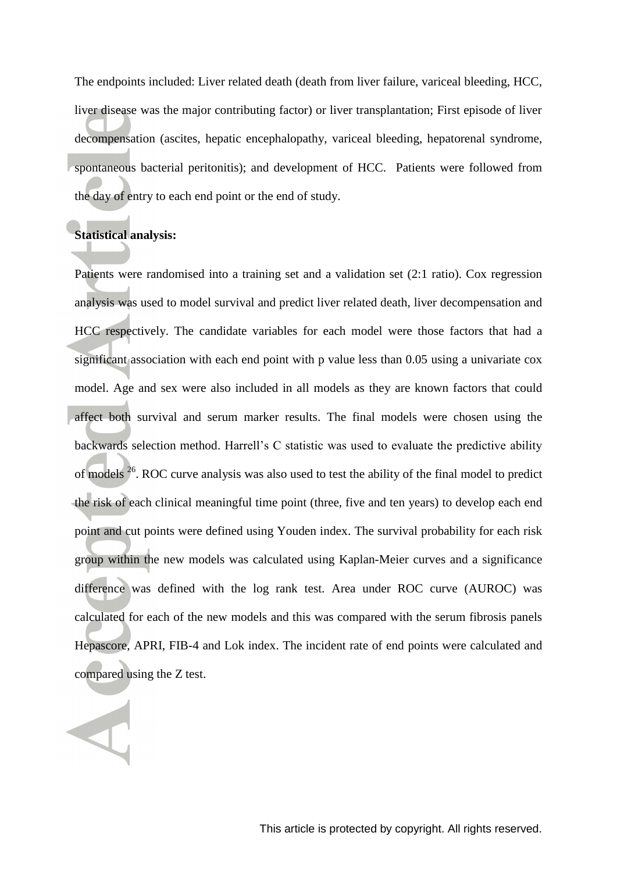The endpoints included: Liver related death (death from liver failure, variceal bleeding, HCC, liver disease was the major contributing factor) or liver transplantation; First episode of liver decompensation (ascites, hepatic encephalopathy, variceal bleeding, hepatorenal syndrome, spontaneous bacterial peritonitis); and development of HCC. Patients were followed from the day of entry to each end point or the end of study.

# **Statistical analysis:**

Patients were randomised into a training set and a validation set (2:1 ratio). Cox regression analysis was used to model survival and predict liver related death, liver decompensation and HCC respectively. The candidate variables for each model were those factors that had a significant association with each end point with p value less than 0.05 using a univariate cox model. Age and sex were also included in all models as they are known factors that could affect both survival and serum marker results. The final models were chosen using the backwards selection method. Harrell's C statistic was used to evaluate the predictive ability of models <sup>[26](#page-18-3)</sup>. ROC curve analysis was also used to test the ability of the final model to predict the risk of each clinical meaningful time point (three, five and ten years) to develop each end point and cut points were defined using Youden index. The survival probability for each risk group within the new models was calculated using Kaplan-Meier curves and a significance difference was defined with the log rank test. Area under ROC curve (AUROC) was calculated for each of the new models and this was compared with the serum fibrosis panels Hepascore, APRI, FIB-4 and Lok index. The incident rate of end points were calculated and compared using the Z test.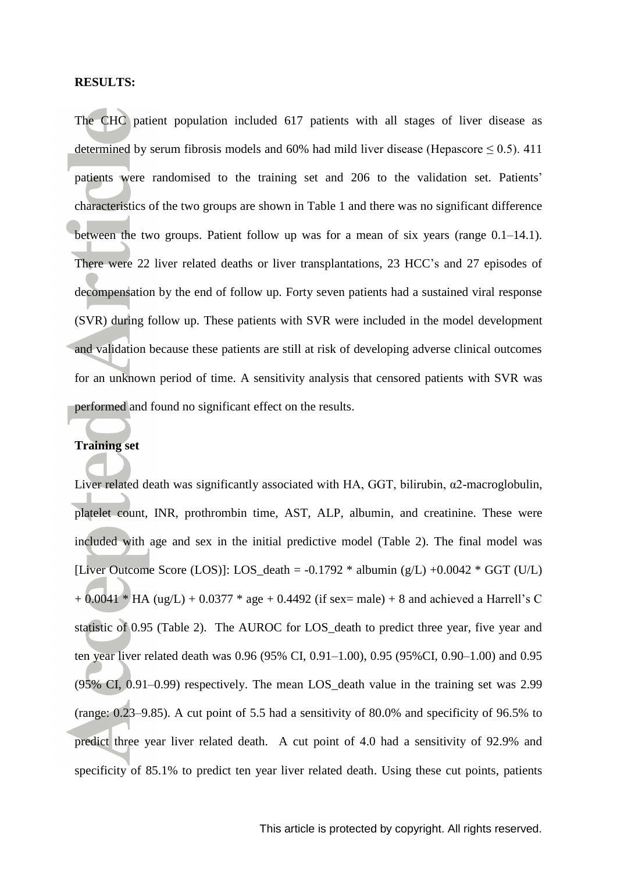### **RESULTS:**

The CHC patient population included 617 patients with all stages of liver disease as determined by serum fibrosis models and 60% had mild liver disease (Hepascore  $\leq$  0.5). 411 patients were randomised to the training set and 206 to the validation set. Patients' characteristics of the two groups are shown in Table 1 and there was no significant difference between the two groups. Patient follow up was for a mean of six years (range 0.1–14.1). There were 22 liver related deaths or liver transplantations, 23 HCC's and 27 episodes of decompensation by the end of follow up. Forty seven patients had a sustained viral response (SVR) during follow up. These patients with SVR were included in the model development and validation because these patients are still at risk of developing adverse clinical outcomes for an unknown period of time. A sensitivity analysis that censored patients with SVR was performed and found no significant effect on the results.

#### **Training set**

Liver related death was significantly associated with HA, GGT, bilirubin, α2-macroglobulin, platelet count, INR, prothrombin time, AST, ALP, albumin, and creatinine. These were included with age and sex in the initial predictive model (Table 2). The final model was [Liver Outcome Score (LOS)]: LOS\_death =  $-0.1792 *$  albumin (g/L)  $+0.0042 * GGT$  (U/L)  $+ 0.0041 * HA (ug/L) + 0.0377 * age + 0.4492$  (if sex= male) + 8 and achieved a Harrell's C statistic of 0.95 (Table 2). The AUROC for LOS\_death to predict three year, five year and ten year liver related death was 0.96 (95% CI, 0.91–1.00), 0.95 (95%CI, 0.90–1.00) and 0.95 (95% CI, 0.91–0.99) respectively. The mean LOS\_death value in the training set was 2.99 (range: 0.23–9.85). A cut point of 5.5 had a sensitivity of 80.0% and specificity of 96.5% to predict three year liver related death. A cut point of 4.0 had a sensitivity of 92.9% and specificity of 85.1% to predict ten year liver related death. Using these cut points, patients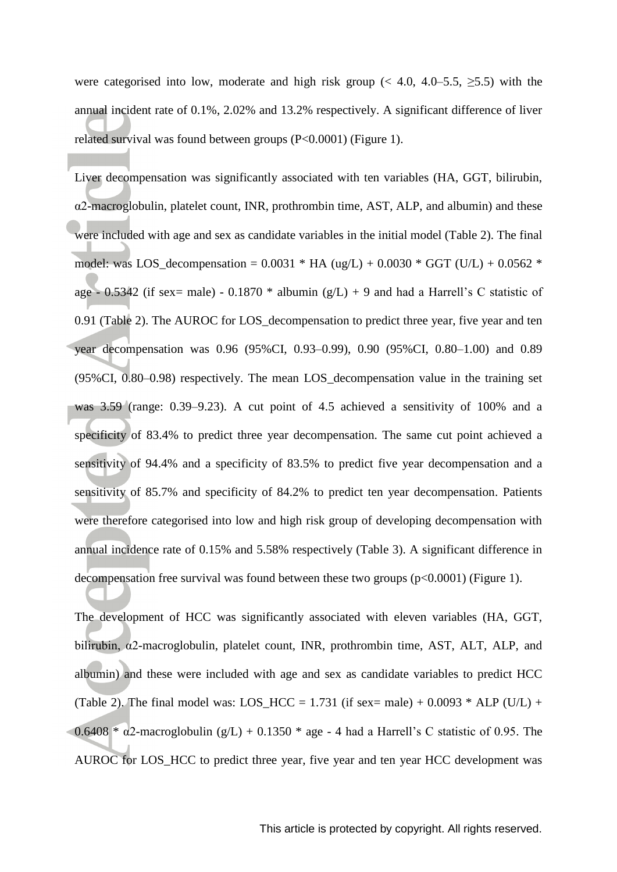were categorised into low, moderate and high risk group (< 4.0, 4.0–5.5,  $\geq$ 5.5) with the annual incident rate of 0.1%, 2.02% and 13.2% respectively. A significant difference of liver related survival was found between groups (P<0.0001) (Figure 1).

Liver decompensation was significantly associated with ten variables (HA, GGT, bilirubin,  $\alpha$ 2-macroglobulin, platelet count, INR, prothrombin time, AST, ALP, and albumin) and these were included with age and sex as candidate variables in the initial model (Table 2). The final model: was LOS\_decompensation =  $0.0031 * HA$  (ug/L) +  $0.0030 * GGT$  (U/L) +  $0.0562 *$ age - 0.5342 (if sex= male) - 0.1870  $*$  albumin (g/L) + 9 and had a Harrell's C statistic of 0.91 (Table 2). The AUROC for LOS decompensation to predict three year, five year and ten year decompensation was 0.96 (95%CI, 0.93–0.99), 0.90 (95%CI, 0.80–1.00) and 0.89 (95%CI, 0.80–0.98) respectively. The mean LOS\_decompensation value in the training set was 3.59 (range: 0.39–9.23). A cut point of 4.5 achieved a sensitivity of 100% and a specificity of 83.4% to predict three year decompensation. The same cut point achieved a sensitivity of 94.4% and a specificity of 83.5% to predict five year decompensation and a sensitivity of 85.7% and specificity of 84.2% to predict ten year decompensation. Patients were therefore categorised into low and high risk group of developing decompensation with annual incidence rate of 0.15% and 5.58% respectively (Table 3). A significant difference in decompensation free survival was found between these two groups  $(p<0.0001)$  (Figure 1).

The development of HCC was significantly associated with eleven variables (HA, GGT, bilirubin, α2-macroglobulin, platelet count, INR, prothrombin time, AST, ALT, ALP, and albumin) and these were included with age and sex as candidate variables to predict HCC (Table 2). The final model was: LOS HCC = 1.731 (if sex= male) + 0.0093  $*$  ALP (U/L) +  $0.6408 * \alpha$ 2-macroglobulin (g/L) + 0.1350  $*$  age - 4 had a Harrell's C statistic of 0.95. The AUROC for LOS\_HCC to predict three year, five year and ten year HCC development was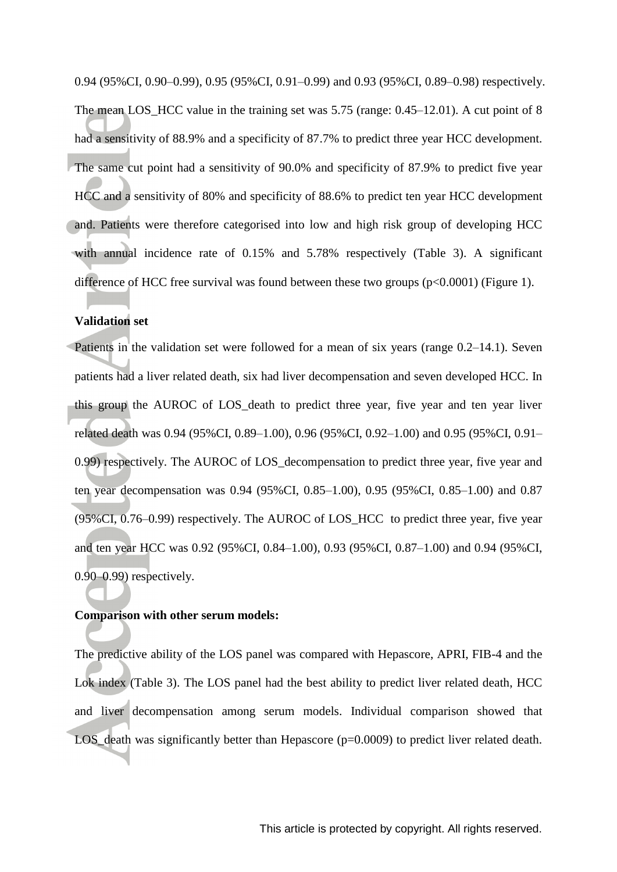0.94 (95%CI, 0.90–0.99), 0.95 (95%CI, 0.91–0.99) and 0.93 (95%CI, 0.89–0.98) respectively. The mean LOS HCC value in the training set was 5.75 (range: 0.45–12.01). A cut point of 8 had a sensitivity of 88.9% and a specificity of 87.7% to predict three year HCC development. The same cut point had a sensitivity of 90.0% and specificity of 87.9% to predict five year HCC and a sensitivity of 80% and specificity of 88.6% to predict ten year HCC development and. Patients were therefore categorised into low and high risk group of developing HCC with annual incidence rate of 0.15% and 5.78% respectively (Table 3). A significant difference of HCC free survival was found between these two groups  $(p<0.0001)$  (Figure 1).

#### **Validation set**

Patients in the validation set were followed for a mean of six years (range 0.2–14.1). Seven patients had a liver related death, six had liver decompensation and seven developed HCC. In this group the AUROC of LOS\_death to predict three year, five year and ten year liver related death was 0.94 (95%CI, 0.89–1.00), 0.96 (95%CI, 0.92–1.00) and 0.95 (95%CI, 0.91– 0.99) respectively. The AUROC of LOS\_decompensation to predict three year, five year and ten year decompensation was 0.94 (95%CI, 0.85–1.00), 0.95 (95%CI, 0.85–1.00) and 0.87 (95%CI, 0.76–0.99) respectively. The AUROC of LOS\_HCC to predict three year, five year and ten year HCC was 0.92 (95%CI, 0.84–1.00), 0.93 (95%CI, 0.87–1.00) and 0.94 (95%CI, 0.90–0.99) respectively.

#### **Comparison with other serum models:**

The predictive ability of the LOS panel was compared with Hepascore, APRI, FIB-4 and the Lok index (Table 3). The LOS panel had the best ability to predict liver related death, HCC and liver decompensation among serum models. Individual comparison showed that LOS death was significantly better than Hepascore (p=0.0009) to predict liver related death.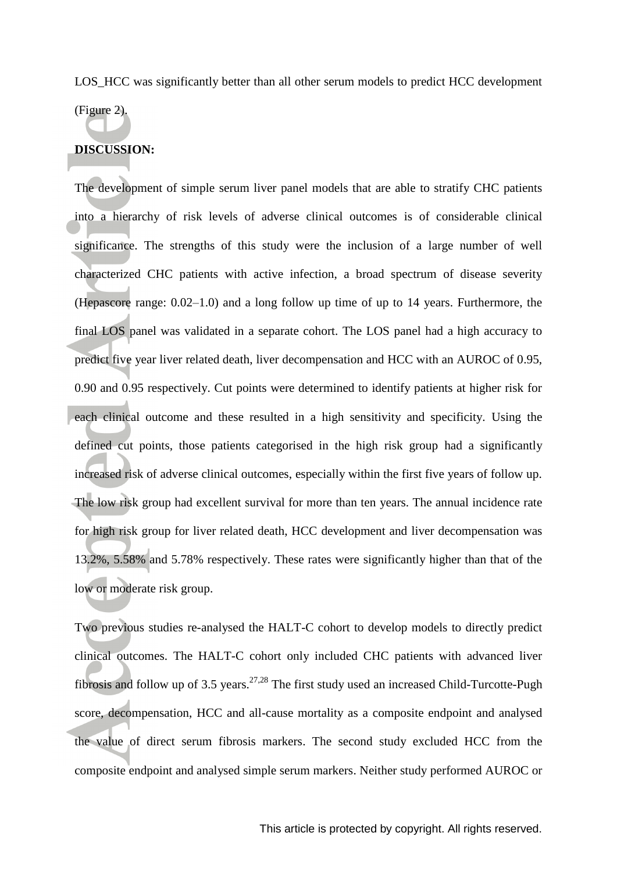LOS HCC was significantly better than all other serum models to predict HCC development

(Figure 2).

### **DISCUSSION:**

The development of simple serum liver panel models that are able to stratify CHC patients into a hierarchy of risk levels of adverse clinical outcomes is of considerable clinical significance. The strengths of this study were the inclusion of a large number of well characterized CHC patients with active infection, a broad spectrum of disease severity (Hepascore range: 0.02–1.0) and a long follow up time of up to 14 years. Furthermore, the final LOS panel was validated in a separate cohort. The LOS panel had a high accuracy to predict five year liver related death, liver decompensation and HCC with an AUROC of 0.95, 0.90 and 0.95 respectively. Cut points were determined to identify patients at higher risk for each clinical outcome and these resulted in a high sensitivity and specificity. Using the defined cut points, those patients categorised in the high risk group had a significantly increased risk of adverse clinical outcomes, especially within the first five years of follow up. The low risk group had excellent survival for more than ten years. The annual incidence rate for high risk group for liver related death, HCC development and liver decompensation was 13.2%, 5.58% and 5.78% respectively. These rates were significantly higher than that of the low or moderate risk group.

Two previous studies re-analysed the HALT-C cohort to develop models to directly predict clinical outcomes. The HALT-C cohort only included CHC patients with advanced liver fibrosis and follow up of 3.5 years.<sup>[27,](#page-18-4)[28](#page-18-5)</sup> The first study used an increased Child-Turcotte-Pugh score, decompensation, HCC and all-cause mortality as a composite endpoint and analysed the value of direct serum fibrosis markers. The second study excluded HCC from the composite endpoint and analysed simple serum markers. Neither study performed AUROC or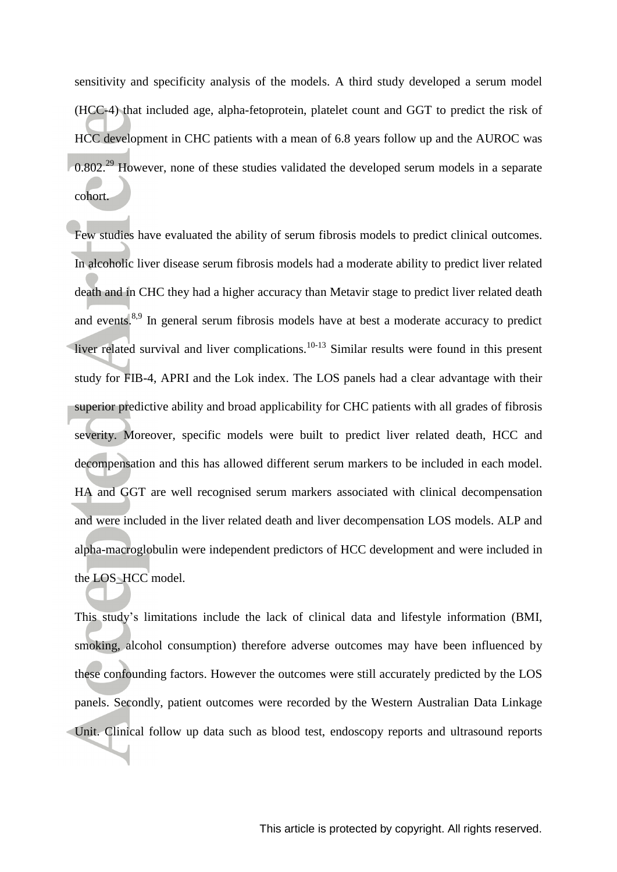sensitivity and specificity analysis of the models. A third study developed a serum model (HCC-4) that included age, alpha-fetoprotein, platelet count and GGT to predict the risk of HCC development in CHC patients with a mean of 6.8 years follow up and the AUROC was  $0.802<sup>29</sup>$  $0.802<sup>29</sup>$  $0.802<sup>29</sup>$  However, none of these studies validated the developed serum models in a separate cohort.

Few studies have evaluated the ability of serum fibrosis models to predict clinical outcomes. In alcoholic liver disease serum fibrosis models had a moderate ability to predict liver related death and in CHC they had a higher accuracy than Metavir stage to predict liver related death and events.<sup>[8](#page-15-5)[,9](#page-16-2)</sup> In general serum fibrosis models have at best a moderate accuracy to predict liver related survival and liver complications.<sup>[10-13](#page-16-3)</sup> Similar results were found in this present study for FIB-4, APRI and the Lok index. The LOS panels had a clear advantage with their superior predictive ability and broad applicability for CHC patients with all grades of fibrosis severity. Moreover, specific models were built to predict liver related death, HCC and decompensation and this has allowed different serum markers to be included in each model. HA and GGT are well recognised serum markers associated with clinical decompensation and were included in the liver related death and liver decompensation LOS models. ALP and alpha-macroglobulin were independent predictors of HCC development and were included in the LOS\_HCC model.

This study's limitations include the lack of clinical data and lifestyle information (BMI, smoking, alcohol consumption) therefore adverse outcomes may have been influenced by these confounding factors. However the outcomes were still accurately predicted by the LOS panels. Secondly, patient outcomes were recorded by the Western Australian Data Linkage Unit. Clinical follow up data such as blood test, endoscopy reports and ultrasound reports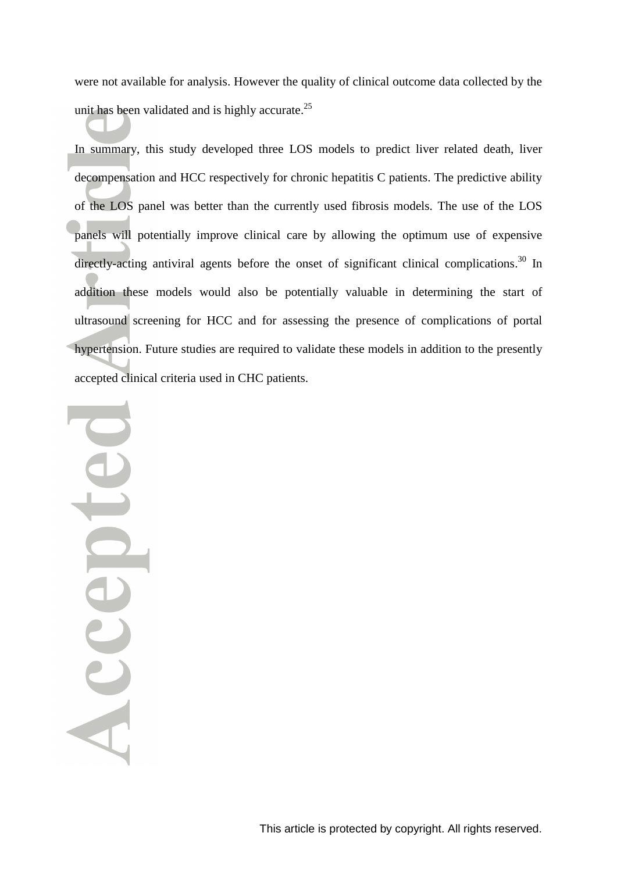were not available for analysis. However the quality of clinical outcome data collected by the unit has been validated and is highly accurate.<sup>[25](#page-18-2)</sup>

In summary, this study developed three LOS models to predict liver related death, liver decompensation and HCC respectively for chronic hepatitis C patients. The predictive ability of the LOS panel was better than the currently used fibrosis models. The use of the LOS panels will potentially improve clinical care by allowing the optimum use of expensive directly-acting antiviral agents before the onset of significant clinical complications.<sup>[30](#page-18-7)</sup> In addition these models would also be potentially valuable in determining the start of ultrasound screening for HCC and for assessing the presence of complications of portal hypertension. Future studies are required to validate these models in addition to the presently accepted clinical criteria used in CHC patients.

ICCCEDI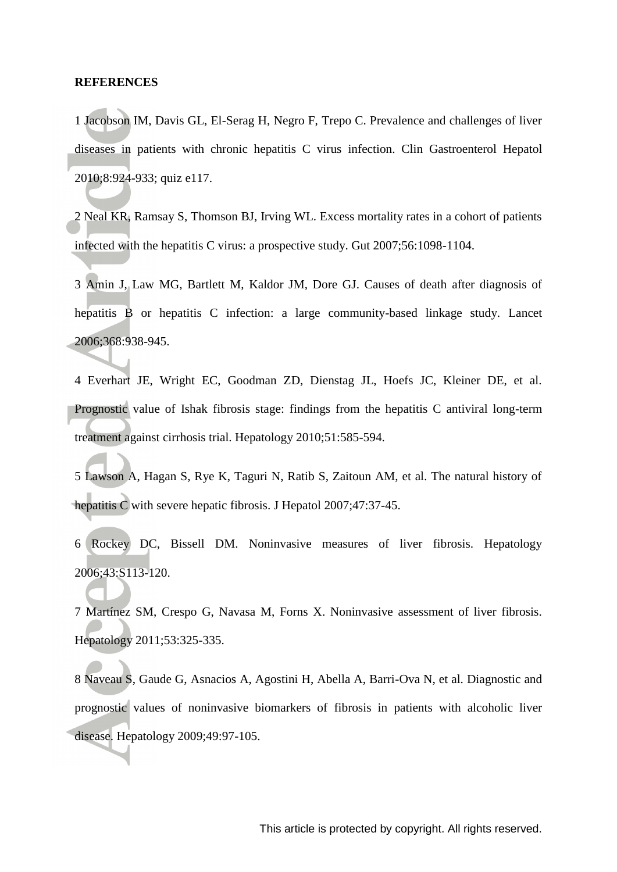#### **REFERENCES**

<span id="page-15-0"></span>1 Jacobson IM, Davis GL, El-Serag H, Negro F, Trepo C. Prevalence and challenges of liver diseases in patients with chronic hepatitis C virus infection. Clin Gastroenterol Hepatol 2010;8:924-933; quiz e117.

<span id="page-15-1"></span>2 Neal KR, Ramsay S, Thomson BJ, Irving WL. Excess mortality rates in a cohort of patients infected with the hepatitis C virus: a prospective study. Gut 2007;56:1098-1104.

<span id="page-15-2"></span>3 Amin J, Law MG, Bartlett M, Kaldor JM, Dore GJ. Causes of death after diagnosis of hepatitis B or hepatitis C infection: a large community-based linkage study. Lancet 2006;368:938-945.

<span id="page-15-3"></span>4 Everhart JE, Wright EC, Goodman ZD, Dienstag JL, Hoefs JC, Kleiner DE, et al. Prognostic value of Ishak fibrosis stage: findings from the hepatitis C antiviral long-term treatment against cirrhosis trial. Hepatology 2010;51:585-594.

5 Lawson A, Hagan S, Rye K, Taguri N, Ratib S, Zaitoun AM, et al. The natural history of hepatitis C with severe hepatic fibrosis. J Hepatol 2007;47:37-45.

6 Rockey DC, Bissell DM. Noninvasive measures of liver fibrosis. Hepatology 2006;43:S113-120.

<span id="page-15-4"></span>7 Martínez SM, Crespo G, Navasa M, Forns X. Noninvasive assessment of liver fibrosis. Hepatology 2011;53:325-335.

<span id="page-15-5"></span>8 Naveau S, Gaude G, Asnacios A, Agostini H, Abella A, Barri-Ova N, et al. Diagnostic and prognostic values of noninvasive biomarkers of fibrosis in patients with alcoholic liver disease. Hepatology 2009;49:97-105.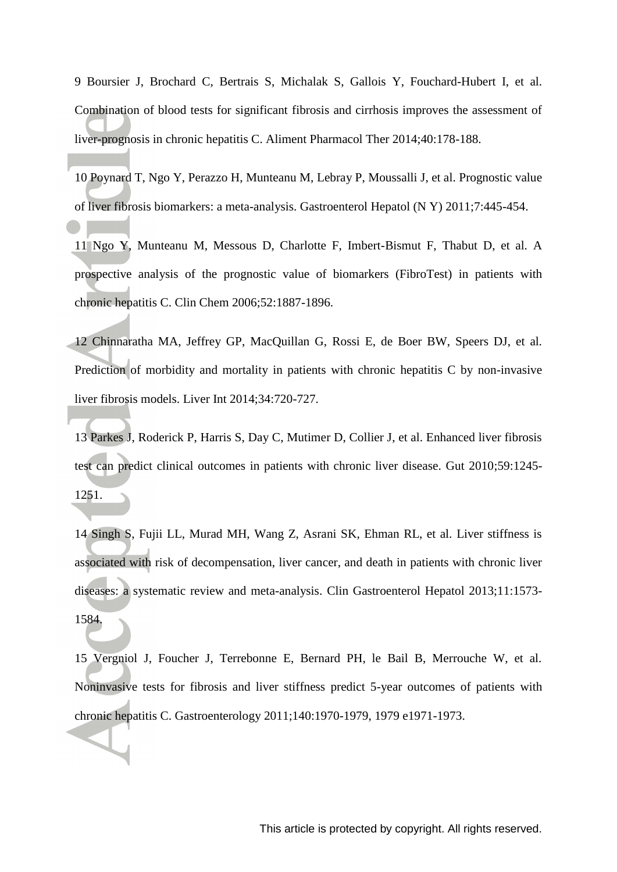<span id="page-16-2"></span>9 Boursier J, Brochard C, Bertrais S, Michalak S, Gallois Y, Fouchard-Hubert I, et al. Combination of blood tests for significant fibrosis and cirrhosis improves the assessment of liver-prognosis in chronic hepatitis C. Aliment Pharmacol Ther 2014;40:178-188.

<span id="page-16-3"></span>10 Poynard T, Ngo Y, Perazzo H, Munteanu M, Lebray P, Moussalli J, et al. Prognostic value of liver fibrosis biomarkers: a meta-analysis. Gastroenterol Hepatol (N Y) 2011;7:445-454.

11 Ngo Y, Munteanu M, Messous D, Charlotte F, Imbert-Bismut F, Thabut D, et al. A prospective analysis of the prognostic value of biomarkers (FibroTest) in patients with chronic hepatitis C. Clin Chem 2006;52:1887-1896.

12 Chinnaratha MA, Jeffrey GP, MacQuillan G, Rossi E, de Boer BW, Speers DJ, et al. Prediction of morbidity and mortality in patients with chronic hepatitis C by non-invasive liver fibrosis models. Liver Int 2014;34:720-727.

13 Parkes J, Roderick P, Harris S, Day C, Mutimer D, Collier J, et al. Enhanced liver fibrosis test can predict clinical outcomes in patients with chronic liver disease. Gut 2010;59:1245- 1251.

<span id="page-16-0"></span>14 Singh S, Fujii LL, Murad MH, Wang Z, Asrani SK, Ehman RL, et al. Liver stiffness is associated with risk of decompensation, liver cancer, and death in patients with chronic liver diseases: a systematic review and meta-analysis. Clin Gastroenterol Hepatol 2013;11:1573- 1584.

<span id="page-16-1"></span>15 Vergniol J, Foucher J, Terrebonne E, Bernard PH, le Bail B, Merrouche W, et al. Noninvasive tests for fibrosis and liver stiffness predict 5-year outcomes of patients with chronic hepatitis C. Gastroenterology 2011;140:1970-1979, 1979 e1971-1973.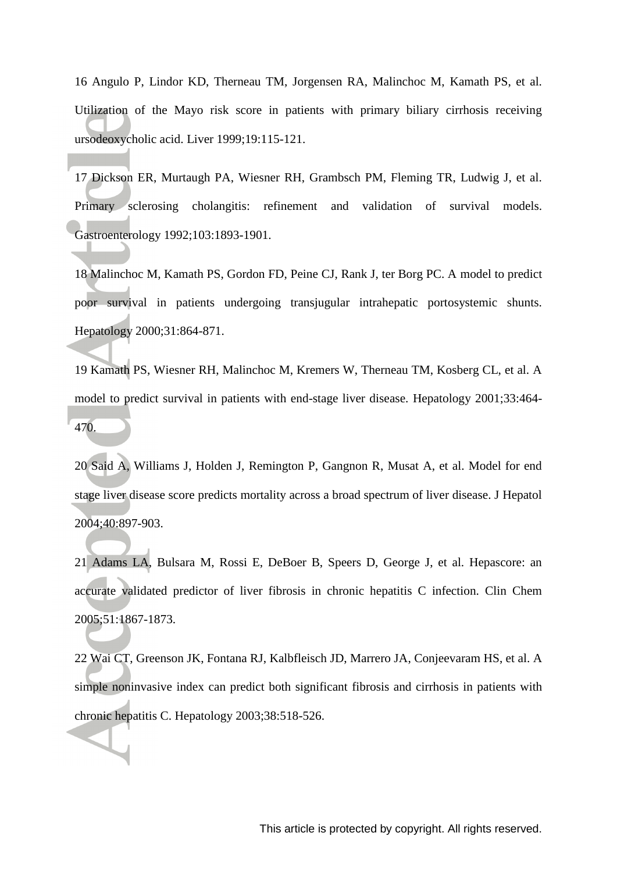<span id="page-17-0"></span>16 Angulo P, Lindor KD, Therneau TM, Jorgensen RA, Malinchoc M, Kamath PS, et al. Utilization of the Mayo risk score in patients with primary biliary cirrhosis receiving ursodeoxycholic acid. Liver 1999;19:115-121.

<span id="page-17-1"></span>17 Dickson ER, Murtaugh PA, Wiesner RH, Grambsch PM, Fleming TR, Ludwig J, et al. Primary sclerosing cholangitis: refinement and validation of survival models. Gastroenterology 1992;103:1893-1901.

18 Malinchoc M, Kamath PS, Gordon FD, Peine CJ, Rank J, ter Borg PC. A model to predict poor survival in patients undergoing transjugular intrahepatic portosystemic shunts. Hepatology 2000;31:864-871.

19 Kamath PS, Wiesner RH, Malinchoc M, Kremers W, Therneau TM, Kosberg CL, et al. A model to predict survival in patients with end-stage liver disease. Hepatology 2001;33:464- 470.

20 Said A, Williams J, Holden J, Remington P, Gangnon R, Musat A, et al. Model for end stage liver disease score predicts mortality across a broad spectrum of liver disease. J Hepatol 2004;40:897-903.

<span id="page-17-2"></span>21 Adams LA, Bulsara M, Rossi E, DeBoer B, Speers D, George J, et al. Hepascore: an accurate validated predictor of liver fibrosis in chronic hepatitis C infection. Clin Chem 2005;51:1867-1873.

<span id="page-17-3"></span>22 Wai CT, Greenson JK, Fontana RJ, Kalbfleisch JD, Marrero JA, Conjeevaram HS, et al. A simple noninvasive index can predict both significant fibrosis and cirrhosis in patients with chronic hepatitis C. Hepatology 2003;38:518-526.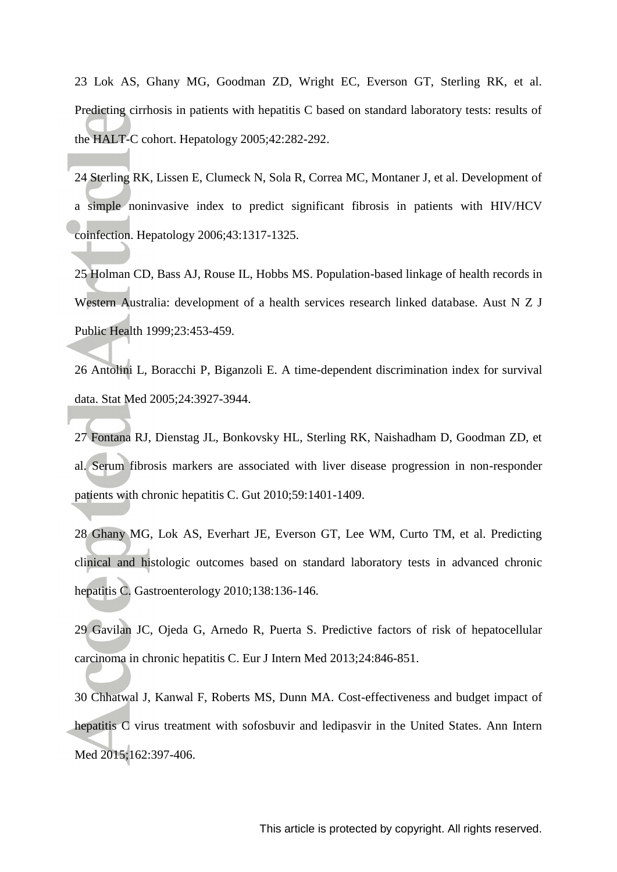<span id="page-18-0"></span>23 Lok AS, Ghany MG, Goodman ZD, Wright EC, Everson GT, Sterling RK, et al. Predicting cirrhosis in patients with hepatitis C based on standard laboratory tests: results of the HALT-C cohort. Hepatology 2005;42:282-292.

<span id="page-18-1"></span>24 Sterling RK, Lissen E, Clumeck N, Sola R, Correa MC, Montaner J, et al. Development of a simple noninvasive index to predict significant fibrosis in patients with HIV/HCV coinfection. Hepatology 2006;43:1317-1325.

<span id="page-18-2"></span>25 Holman CD, Bass AJ, Rouse IL, Hobbs MS. Population-based linkage of health records in Western Australia: development of a health services research linked database. Aust N Z J Public Health 1999;23:453-459.

<span id="page-18-3"></span>26 Antolini L, Boracchi P, Biganzoli E. A time-dependent discrimination index for survival data. Stat Med 2005;24:3927-3944.

<span id="page-18-4"></span>27 Fontana RJ, Dienstag JL, Bonkovsky HL, Sterling RK, Naishadham D, Goodman ZD, et al. Serum fibrosis markers are associated with liver disease progression in non-responder patients with chronic hepatitis C. Gut 2010;59:1401-1409.

<span id="page-18-5"></span>28 Ghany MG, Lok AS, Everhart JE, Everson GT, Lee WM, Curto TM, et al. Predicting clinical and histologic outcomes based on standard laboratory tests in advanced chronic hepatitis C. Gastroenterology 2010;138:136-146.

<span id="page-18-6"></span>29 Gavilan JC, Ojeda G, Arnedo R, Puerta S. Predictive factors of risk of hepatocellular carcinoma in chronic hepatitis C. Eur J Intern Med 2013;24:846-851.

<span id="page-18-7"></span>30 Chhatwal J, Kanwal F, Roberts MS, Dunn MA. Cost-effectiveness and budget impact of hepatitis C virus treatment with sofosbuvir and ledipasvir in the United States. Ann Intern Med 2015;162:397-406.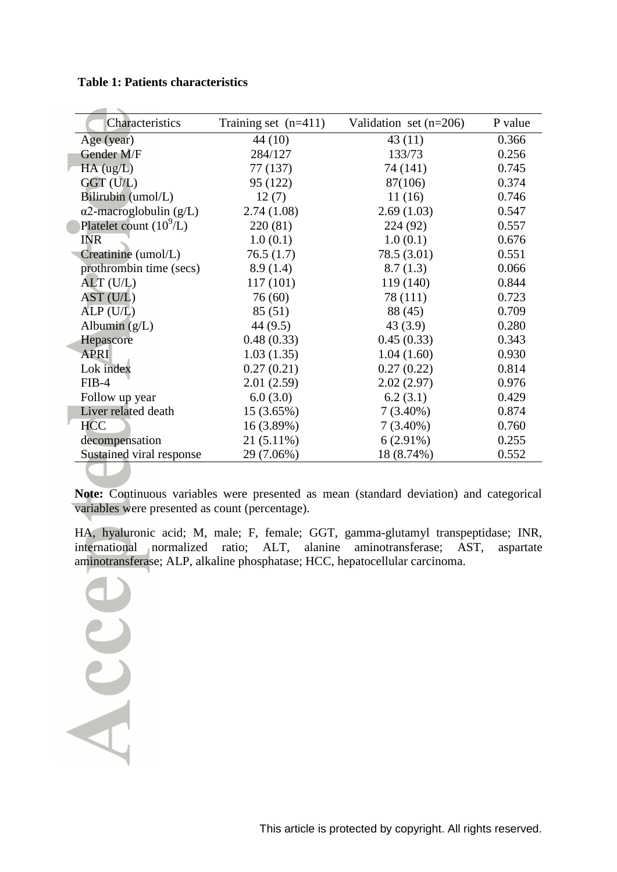### **Table 1: Patients characteristics**

 $\sim$ 

| Characteristics                | Training set $(n=411)$ | Validation set $(n=206)$ | P value |
|--------------------------------|------------------------|--------------------------|---------|
| Age (year)                     | 44 (10)                | 43(11)                   | 0.366   |
| Gender M/F                     | 284/127                | 133/73                   | 0.256   |
| $HA$ (ug/L)                    | 77 (137)               | 74 (141)                 | 0.745   |
| GGT (U/L)                      | 95 (122)               | 87(106)                  | 0.374   |
| Bilirubin (umol/L)             | 12(7)                  | 11(16)                   | 0.746   |
| $\alpha$ 2-macroglobulin (g/L) | 2.74(1.08)             | 2.69(1.03)               | 0.547   |
| Platelet count $(10^9/L)$      | 220(81)                | 224 (92)                 | 0.557   |
| <b>INR</b>                     | 1.0(0.1)               | 1.0(0.1)                 | 0.676   |
| Creatinine (umol/L)            | 76.5(1.7)              | 78.5 (3.01)              | 0.551   |
| prothrombin time (secs)        | 8.9(1.4)               | 8.7(1.3)                 | 0.066   |
| $ALT$ (U/L)                    | 117(101)               | 119 (140)                | 0.844   |
| AST (U/L)                      | 76 (60)                | 78 (111)                 | 0.723   |
| ALP(U/L)                       | 85 (51)                | 88 (45)                  | 0.709   |
| Albumin $(g/L)$                | 44 (9.5)               | 43(3.9)                  | 0.280   |
| Hepascore                      | 0.48(0.33)             | 0.45(0.33)               | 0.343   |
| <b>APRI</b>                    | 1.03(1.35)             | 1.04(1.60)               | 0.930   |
| Lok index                      | 0.27(0.21)             | 0.27(0.22)               | 0.814   |
| $FIB-4$                        | 2.01(2.59)             | 2.02(2.97)               | 0.976   |
| Follow up year                 | 6.0(3.0)               | 6.2(3.1)                 | 0.429   |
| Liver related death            | $15(3.65\%)$           | $7(3.40\%)$              | 0.874   |
| <b>HCC</b>                     | 16 (3.89%)             | $7(3.40\%)$              | 0.760   |
| decompensation                 | $21(5.11\%)$           | $6(2.91\%)$              | 0.255   |
| Sustained viral response       | 29 (7.06%)             | 18 (8.74%)               | 0.552   |
|                                |                        |                          |         |

**Note:** Continuous variables were presented as mean (standard deviation) and categorical variables were presented as count (percentage).

HA, hyaluronic acid; M, male; F, female; GGT, gamma-glutamyl transpeptidase; INR, international normalized ratio; ALT, alanine aminotransferase; AST, aspartate aminotransferase; ALP, alkaline phosphatase; HCC, hepatocellular carcinoma.

Acce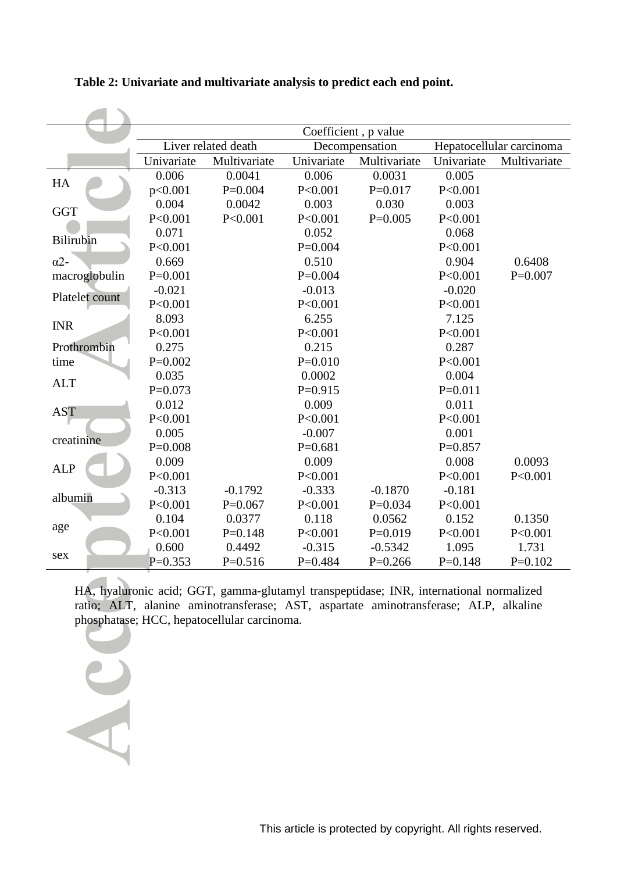|                  | Coefficient, p value |              |                |              |                          |              |
|------------------|----------------------|--------------|----------------|--------------|--------------------------|--------------|
|                  | Liver related death  |              | Decompensation |              | Hepatocellular carcinoma |              |
|                  | Univariate           | Multivariate | Univariate     | Multivariate | Univariate               | Multivariate |
| HA               | 0.006                | 0.0041       | 0.006          | 0.0031       | 0.005                    |              |
|                  | p<0.001              | $P=0.004$    | P<0.001        | $P=0.017$    | P<0.001                  |              |
| <b>GGT</b>       | 0.004                | 0.0042       | 0.003          | 0.030        | 0.003                    |              |
|                  | P<0.001              | P < 0.001    | P<0.001        | $P=0.005$    | P<0.001                  |              |
| <b>Bilirubin</b> | 0.071                |              | 0.052          |              | 0.068                    |              |
|                  | P<0.001              |              | $P=0.004$      |              | P < 0.001                |              |
| $\alpha$ 2-      | 0.669                |              | 0.510          |              | 0.904                    | 0.6408       |
| macroglobulin    | $P=0.001$            |              | $P=0.004$      |              | P < 0.001                | $P=0.007$    |
| Platelet count   | $-0.021$             |              | $-0.013$       |              | $-0.020$                 |              |
|                  | P<0.001              |              | P < 0.001      |              | P < 0.001                |              |
| <b>INR</b>       | 8.093                |              | 6.255          |              | 7.125                    |              |
|                  | P < 0.001            |              | P < 0.001      |              | P < 0.001                |              |
| Prothrombin      | 0.275                |              | 0.215          |              | 0.287                    |              |
| time             | $P=0.002$            |              | $P=0.010$      |              | P < 0.001                |              |
| <b>ALT</b>       | 0.035                |              | 0.0002         |              | 0.004                    |              |
|                  | $P=0.073$            |              | $P=0.915$      |              | $P=0.011$                |              |
| <b>AST</b>       | 0.012                |              | 0.009          |              | 0.011                    |              |
|                  | P<0.001              |              | P < 0.001      |              | P < 0.001                |              |
| creatinine       | 0.005                |              | $-0.007$       |              | 0.001                    |              |
|                  | $P=0.008$            |              | $P=0.681$      |              | $P=0.857$                |              |
| <b>ALP</b>       | 0.009                |              | 0.009          |              | 0.008                    | 0.0093       |
|                  | P<0.001              |              | P < 0.001      |              | P < 0.001                | P < 0.001    |
| albumin          | $-0.313$             | $-0.1792$    | $-0.333$       | $-0.1870$    | $-0.181$                 |              |
|                  | P<0.001              | $P=0.067$    | P < 0.001      | $P=0.034$    | P < 0.001                |              |
| age              | 0.104                | 0.0377       | 0.118          | 0.0562       | 0.152                    | 0.1350       |
|                  | P < 0.001            | $P=0.148$    | P < 0.001      | $P=0.019$    | P < 0.001                | P < 0.001    |
| sex              | 0.600                | 0.4492       | $-0.315$       | $-0.5342$    | 1.095                    | 1.731        |
|                  | $P=0.353$            | $P=0.516$    | $P=0.484$      | $P=0.266$    | $P=0.148$                | $P=0.102$    |

**Table 2: Univariate and multivariate analysis to predict each end point.**

HA, hyaluronic acid; GGT, gamma-glutamyl transpeptidase; INR, international normalized ratio; ALT, alanine aminotransferase; AST, aspartate aminotransferase; ALP, alkaline phosphatase; HCC, hepatocellular carcinoma.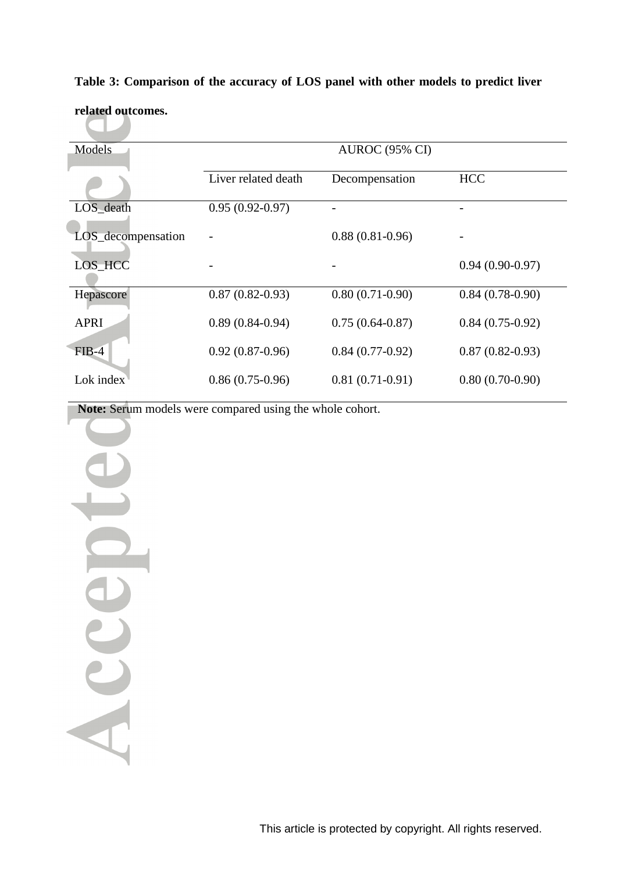| Models             |                     | <b>AUROC</b> (95% CI) |                   |  |  |
|--------------------|---------------------|-----------------------|-------------------|--|--|
|                    | Liver related death | Decompensation        | <b>HCC</b>        |  |  |
| LOS_death          | $0.95(0.92-0.97)$   |                       |                   |  |  |
| LOS_decompensation |                     | $0.88(0.81-0.96)$     |                   |  |  |
| LOS_HCC            |                     |                       | $0.94(0.90-0.97)$ |  |  |
| Hepascore          | $0.87(0.82-0.93)$   | $0.80(0.71-0.90)$     | $0.84(0.78-0.90)$ |  |  |
| <b>APRI</b>        | $0.89(0.84-0.94)$   | $0.75(0.64-0.87)$     | $0.84(0.75-0.92)$ |  |  |
| $FIB-4$            | $0.92(0.87-0.96)$   | $0.84(0.77-0.92)$     | $0.87(0.82-0.93)$ |  |  |
| Lok index          | $0.86(0.75-0.96)$   | $0.81(0.71-0.91)$     | $0.80(0.70-0.90)$ |  |  |

# **Table 3: Comparison of the accuracy of LOS panel with other models to predict liver**

**related outcomes.** The Contract of

**Note:** Serum models were compared using the whole cohort.

Accept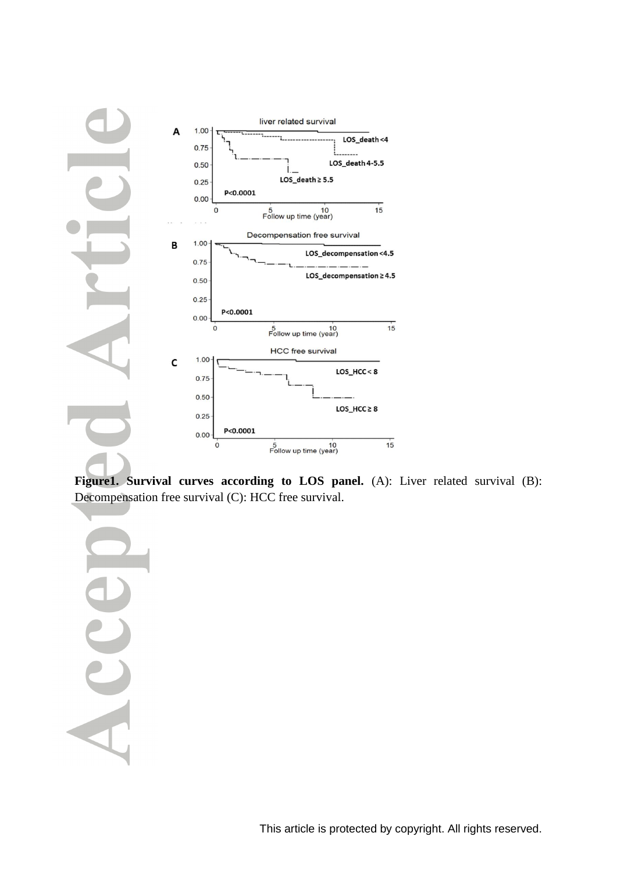

**Figure1. Survival curves according to LOS panel.** (A): Liver related survival (B): Decompensation free survival (C): HCC free survival.